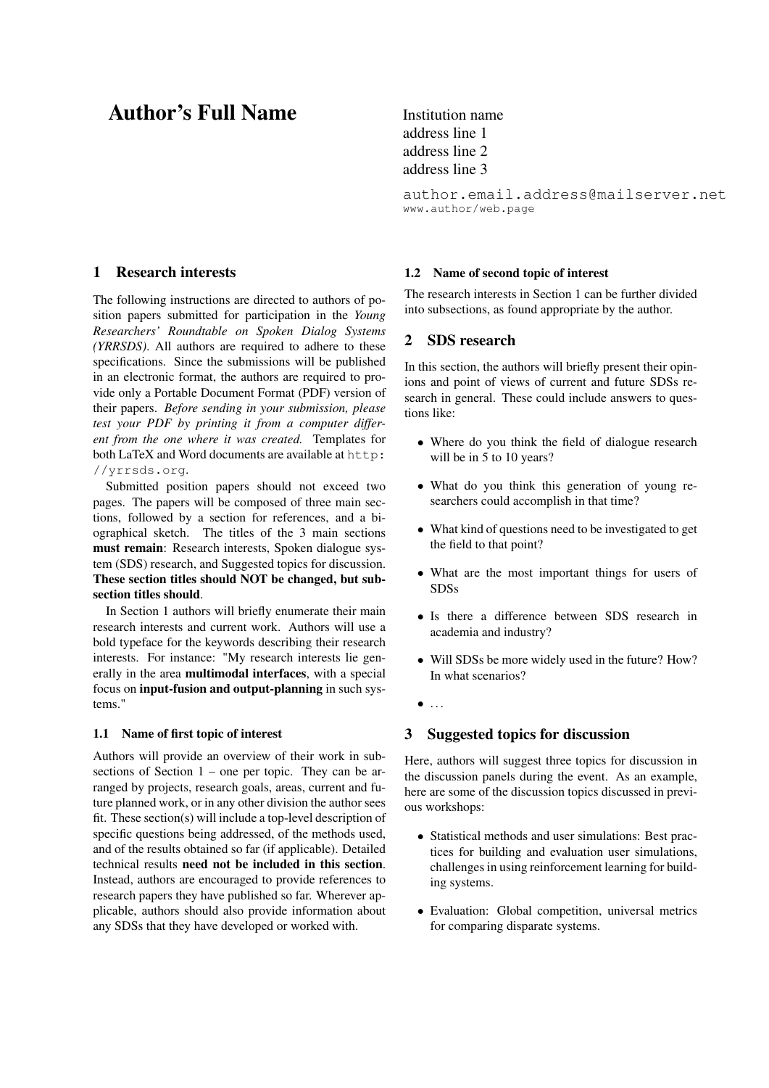# Author's Full Name Institution name

### <span id="page-0-0"></span>1 Research interests

The following instructions are directed to authors of position papers submitted for participation in the *Young Researchers' Roundtable on Spoken Dialog Systems (YRRSDS)*. All authors are required to adhere to these specifications. Since the submissions will be published in an electronic format, the authors are required to provide only a Portable Document Format (PDF) version of their papers. *Before sending in your submission, please test your PDF by printing it from a computer different from the one where it was created.* Templates for both LaTeX and Word documents are available at [http:](http://yrrsds.org) [//yrrsds.org](http://yrrsds.org).

Submitted position papers should not exceed two pages. The papers will be composed of three main sections, followed by a section for references, and a biographical sketch. The titles of the 3 main sections must remain: [Research interests,](#page-0-0) [Spoken dialogue sys](#page-0-1)[tem \(SDS\) research,](#page-0-1) and [Suggested topics for discussion.](#page-0-2) These section titles should NOT be changed, but subsection titles should.

In [Section 1](#page-0-0) authors will briefly enumerate their main research interests and current work. Authors will use a bold typeface for the keywords describing their research interests. For instance: "My research interests lie generally in the area multimodal interfaces, with a special focus on input-fusion and output-planning in such systems."

#### 1.1 Name of first topic of interest

Authors will provide an overview of their work in subsections of Section  $1$  – one per topic. They can be arranged by projects, research goals, areas, current and future planned work, or in any other division the author sees fit. These section(s) will include a top-level description of specific questions being addressed, of the methods used, and of the results obtained so far (if applicable). Detailed technical results need not be included in this section. Instead, authors are encouraged to provide references to research papers they have published so far. Wherever applicable, authors should also provide information about any SDSs that they have developed or worked with.

address line 1 address line 2 address line 3

```
author.email.address@mailserver.net
www.author/web.page
```
#### 1.2 Name of second topic of interest

The research interests in [Section 1](#page-0-0) can be further divided into subsections, as found appropriate by the author.

### <span id="page-0-1"></span>2 SDS research

In this section, the authors will briefly present their opinions and point of views of current and future SDSs research in general. These could include answers to questions like:

- Where do you think the field of dialogue research will be in 5 to 10 years?
- What do you think this generation of young researchers could accomplish in that time?
- What kind of questions need to be investigated to get the field to that point?
- What are the most important things for users of SDSs
- Is there a difference between SDS research in academia and industry?
- Will SDSs be more widely used in the future? How? In what scenarios?
- $\bullet$  ...

# <span id="page-0-2"></span>3 Suggested topics for discussion

Here, authors will suggest three topics for discussion in the discussion panels during the event. As an example, here are some of the discussion topics discussed in previous workshops:

- Statistical methods and user simulations: Best practices for building and evaluation user simulations, challenges in using reinforcement learning for building systems.
- Evaluation: Global competition, universal metrics for comparing disparate systems.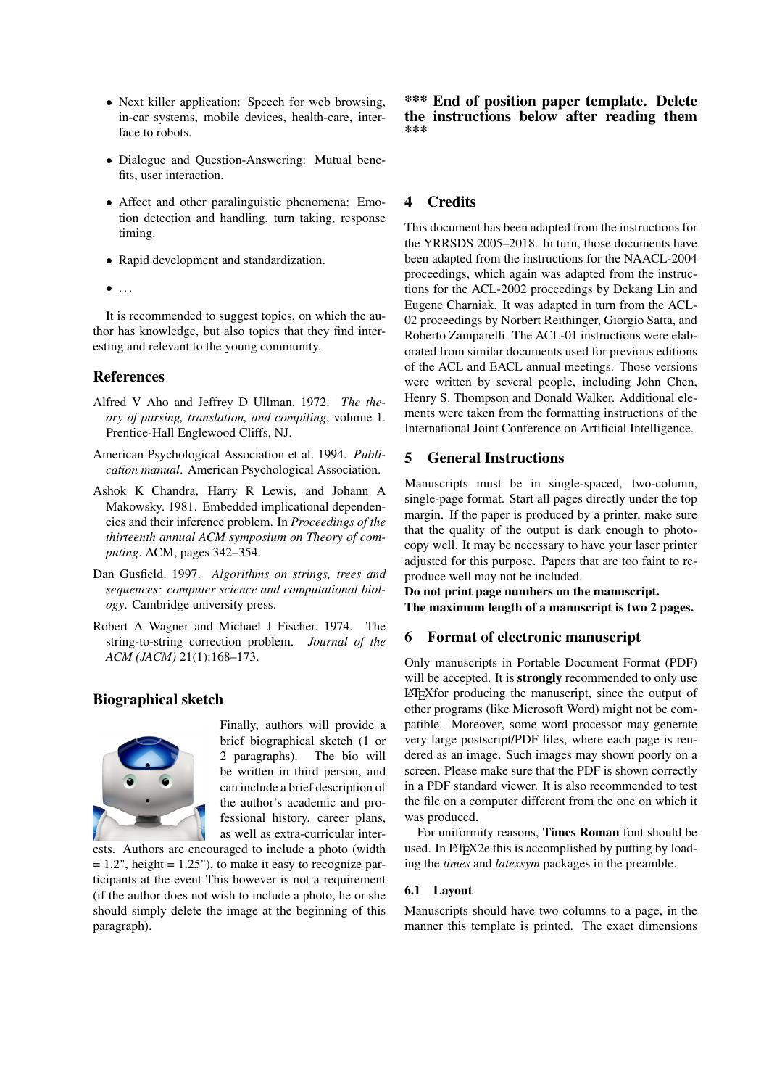- Next killer application: Speech for web browsing, in-car systems, mobile devices, health-care, interface to robots.
- Dialogue and Question-Answering: Mutual benefits, user interaction.
- Affect and other paralinguistic phenomena: Emotion detection and handling, turn taking, response timing.
- Rapid development and standardization.
- $\bullet$  ...

It is recommended to suggest topics, on which the author has knowledge, but also topics that they find interesting and relevant to the young community.

# References

- <span id="page-1-1"></span>Alfred V Aho and Jeffrey D Ullman. 1972. *The theory of parsing, translation, and compiling*, volume 1. Prentice-Hall Englewood Cliffs, NJ.
- <span id="page-1-4"></span>American Psychological Association et al. 1994. *Publication manual*. American Psychological Association.
- <span id="page-1-2"></span>Ashok K Chandra, Harry R Lewis, and Johann A Makowsky. 1981. Embedded implicational dependencies and their inference problem. In *Proceedings of the thirteenth annual ACM symposium on Theory of computing*. ACM, pages 342–354.
- <span id="page-1-0"></span>Dan Gusfield. 1997. *Algorithms on strings, trees and sequences: computer science and computational biology*. Cambridge university press.
- <span id="page-1-3"></span>Robert A Wagner and Michael J Fischer. 1974. The string-to-string correction problem. *Journal of the ACM (JACM)* 21(1):168–173.

# Biographical sketch



Finally, authors will provide a brief biographical sketch (1 or 2 paragraphs). The bio will be written in third person, and can include a brief description of the author's academic and professional history, career plans, as well as extra-curricular inter-

ests. Authors are encouraged to include a photo (width  $= 1.2$ ", height  $= 1.25$ "), to make it easy to recognize participants at the event This however is not a requirement (if the author does not wish to include a photo, he or she should simply delete the image at the beginning of this paragraph).

\*\*\* End of position paper template. Delete the instructions below after reading them \*\*\*

# 4 Credits

This document has been adapted from the instructions for the YRRSDS 2005–2018. In turn, those documents have been adapted from the instructions for the NAACL-2004 proceedings, which again was adapted from the instructions for the ACL-2002 proceedings by Dekang Lin and Eugene Charniak. It was adapted in turn from the ACL-02 proceedings by Norbert Reithinger, Giorgio Satta, and Roberto Zamparelli. The ACL-01 instructions were elaborated from similar documents used for previous editions of the ACL and EACL annual meetings. Those versions were written by several people, including John Chen, Henry S. Thompson and Donald Walker. Additional elements were taken from the formatting instructions of the International Joint Conference on Artificial Intelligence.

# 5 General Instructions

Manuscripts must be in single-spaced, two-column, single-page format. Start all pages directly under the top margin. If the paper is produced by a printer, make sure that the quality of the output is dark enough to photocopy well. It may be necessary to have your laser printer adjusted for this purpose. Papers that are too faint to reproduce well may not be included.

Do not print page numbers on the manuscript. The maximum length of a manuscript is two 2 pages.

# 6 Format of electronic manuscript

Only manuscripts in Portable Document Format (PDF) will be accepted. It is **strongly** recommended to only use LATEXfor producing the manuscript, since the output of other programs (like Microsoft Word) might not be compatible. Moreover, some word processor may generate very large postscript/PDF files, where each page is rendered as an image. Such images may shown poorly on a screen. Please make sure that the PDF is shown correctly in a PDF standard viewer. It is also recommended to test the file on a computer different from the one on which it was produced.

For uniformity reasons, Times Roman font should be used. In LAT<sub>E</sub>X2e this is accomplished by putting by loading the *times* and *latexsym* packages in the preamble.

## 6.1 Layout

Manuscripts should have two columns to a page, in the manner this template is printed. The exact dimensions